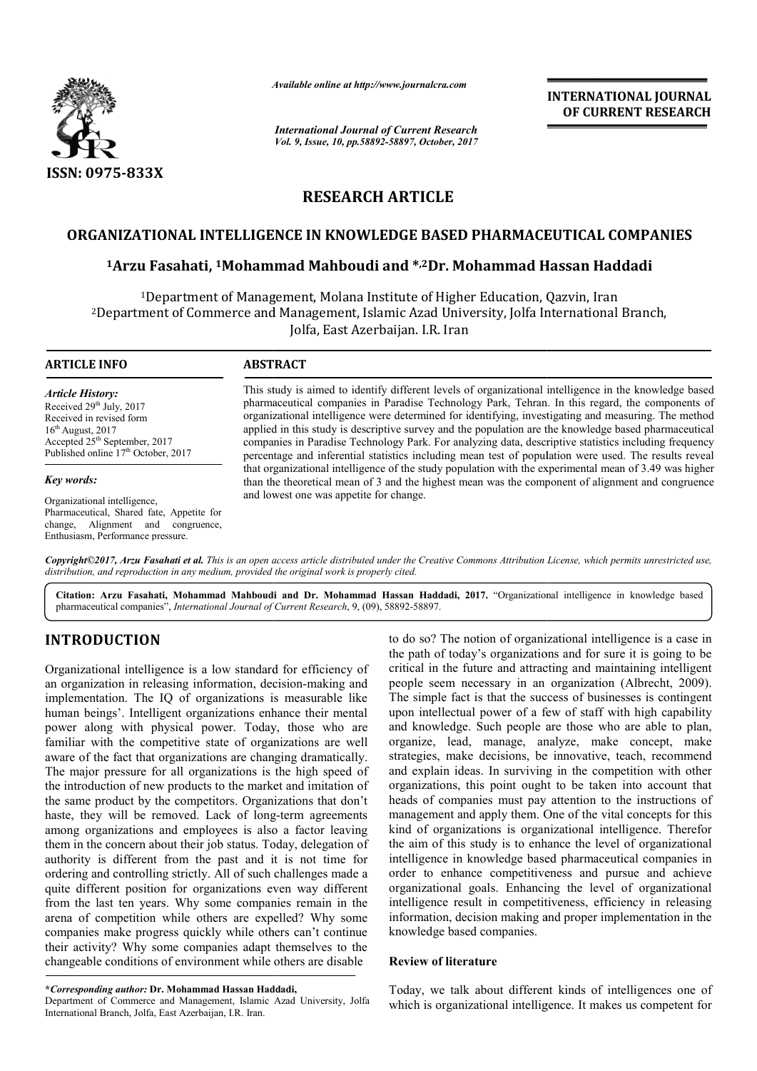

*Available online at http://www.journal http://www.journalcra.com*

*International Journal of Current Research Vol. 9, Issue, 10, pp.58892-58897, October, 2017* **INTERNATIONAL JOURNAL OF CURRENT RESEARCH** 

# **RESEARCH ARTICLE**

# **ORGANIZATIONAL INTELLIGENCE IN KNOWLEDGE BASED PHARMACEUTICAL COMPANIES**

# **1Arzu Fasahati, 1Mohammad Mahboud Mohammad Mahboudi and \*,2Dr. Mohammad Hassan Haddadi Dr.**

<sup>1</sup>Department of Management, Molana Institute of Higher Education, Qazvin, Iran <sup>2</sup>Department of Commerce and Management, Islamic Azad University, Jolfa International Branch,<br>Jolfa, East Azerbaijan. I.R. Iran

#### **ARTICLE INFO ABSTRACT**

*Article History:* Received 29<sup>th</sup> July, 2017 Received in revised form 16th August, 2017 Accepted 25<sup>th</sup> September, 2017 Published online 17<sup>th</sup> October, 2017

#### *Key words:*

Organizational intelligence, Pharmaceutical, Shared fate, Appetite for change, Alignment and congruence, Enthusiasm, Performance pressure.

This study is aimed to identify different levels of organizational intelligence in the knowledge based pharmaceutical companies in Paradise Technology Park, Tehran. In this regard, the components of organizational intelligence were determined for identifying, investigating and measuring. The method applied in this study is descriptive survey and the population are the knowledge based pharmaceutical companies in Paradise Technology Park. For analyzing data, descriptive statistics including frequency percenta percentage and inferential statistics including mean test of population were used. The results reveal that organizational intelligence of the study population with the experimental mean of 3.49 was higher than the theoretical mean of 3 and the highest mean was the component of alignment and congruence and lowest one was appetite for change. This study is aimed to identify different levels of organizational intelligence in the knowledge pharmaceutical companies in Paradise Technology Park, Tehran. In this regard, the compone organizational intelligence were de

*Copyright©2017, Arzu Fasahati et al. This is an open access article distributed under the Creative Commons Att Attribution License, which ribution permits unrestricted use,*  distribution, and reproduction in any medium, provided the original work is properly cited.

Citation: Arzu Fasahati, Mohammad Mahboudi and Dr. Mohammad Hassan Haddadi, 2017. "Organizational intelligence in knowledge based pharmaceutical companies", *International Journal of Current Research* , 9, (09), 58892-58897.

# **INTRODUCTION**

Organizational intelligence is a low standard for efficiency of an organization in releasing information, decision-making and implementation. The IQ of organizations is measurable like human beings'. Intelligent organizations enhance their mental power along with physical power. Today, those who are familiar with the competitive state of organizations are well aware of the fact that organizations are changing dramatically. The major pressure for all organizations is the high speed of the introduction of new products to the market and imitation of the same product by the competitors. Organizations that don't haste, they will be removed. Lack of long-term agreements among organizations and employees is also a factor leaving them in the concern about their job status. Today, delegation of authority is different from the past and it is not time for ordering and controlling strictly. All of such challenges made a quite different position for organizations even way different from the last ten years. Why some companies remain in the arena of competition while others are expelled? Why some companies make progress quickly while others can't continue their activity? Why some companies adapt themselves to the changeable conditions of environment while others are disable ng with physical power. Today, those who are<br>ith the competitive state of organizations are well<br>ne fact that organizations are changing dramatically.<br>pressure for all organizations is the high speed of<br>ction of new produc

Department of Commerce and Management, Islamic Azad University, Jolfa International Branch, Jolfa, East Azerbaijan, I.R. Iran.

to do so? The notion of organizational intelligence is a case in the path of today's organizations and for sure it is going to be critical in the future and attracting and maintaining intelligent people seem necessary in an organization (Albrecht, 2009). The simple fact is that the success of businesses is contingent upon intellectual power of a few of staff with high capability and knowledge. Such people are those who are able to plan, organize, lead, manage, analyze, make concept, make strategies, make decisions, be innovative, teach, recommend and explain ideas. In surviving in the competition with other organizations, this point ought to be taken into account that heads of companies must pay attention to the instructions of management and apply them. One of the vital concepts for this kind of organizations is organizational intelligence. Therefor the aim of this study is to enhance the level of organizational intelligence in knowledge based pharmaceutical companies in intelligence in knowledge based pharmaceutical companies in order to enhance competitiveness and pursue and achieve organizational goals. Enhancing the level of organizational intelligence result in competitiveness, efficiency in releasing information, decision making and proper implementation in the knowledge based companies. to do so? The notion of organizational intelligence is a case in the path of today's organizations and for sure it is going to be critical in the future and attracting and maintaining intelligent people seem necessary in a **INTERNATIONAL JOURNAL CONTROLL JOURNAL FORMAL JOURNAL CONTROLL COMPANIES CONTROLL CONTROLL CONTROLL CONTROLL CONTROLL CONTROLL CONTROLL CONTROLL CONTROLL CONTROLL CONTROLL CONTROLL CONTROLL CONTROLL CONTROLL CONTROLL CON** 

#### **Review of literature**

Today, we talk about different kinds of intelligences one of which is organizational intelligence. It makes us competent for

**<sup>\*</sup>***Corresponding author:* **Dr. Mohammad Hassan Haddadi,**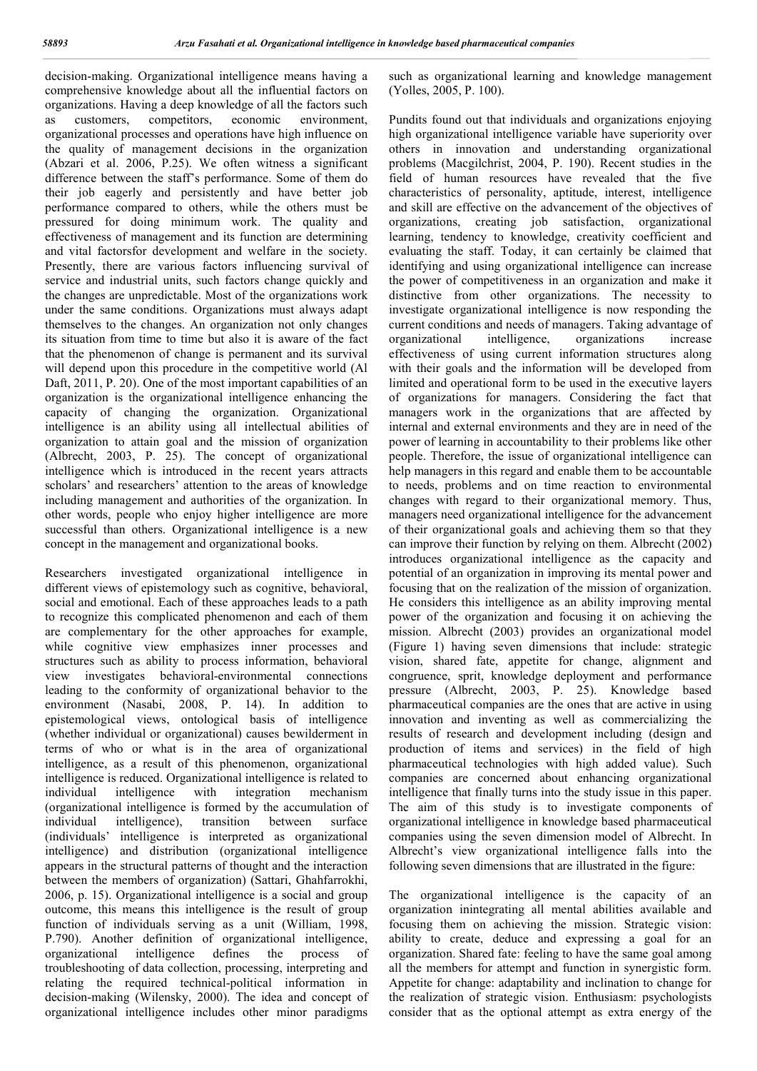decision-making. Organizational intelligence means having a comprehensive knowledge about all the influential factors on organizations. Having a deep knowledge of all the factors such as customers, competitors, economic environment, organizational processes and operations have high influence on the quality of management decisions in the organization (Abzari et al. 2006, P.25). We often witness a significant difference between the staff's performance. Some of them do their job eagerly and persistently and have better job performance compared to others, while the others must be pressured for doing minimum work. The quality and effectiveness of management and its function are determining and vital factorsfor development and welfare in the society. Presently, there are various factors influencing survival of service and industrial units, such factors change quickly and the changes are unpredictable. Most of the organizations work under the same conditions. Organizations must always adapt themselves to the changes. An organization not only changes its situation from time to time but also it is aware of the fact that the phenomenon of change is permanent and its survival will depend upon this procedure in the competitive world (Al Daft, 2011, P. 20). One of the most important capabilities of an organization is the organizational intelligence enhancing the capacity of changing the organization. Organizational intelligence is an ability using all intellectual abilities of organization to attain goal and the mission of organization (Albrecht, 2003, P. 25). The concept of organizational intelligence which is introduced in the recent years attracts scholars' and researchers' attention to the areas of knowledge including management and authorities of the organization. In other words, people who enjoy higher intelligence are more successful than others. Organizational intelligence is a new concept in the management and organizational books.

Researchers investigated organizational intelligence in different views of epistemology such as cognitive, behavioral, social and emotional. Each of these approaches leads to a path to recognize this complicated phenomenon and each of them are complementary for the other approaches for example, while cognitive view emphasizes inner processes and structures such as ability to process information, behavioral view investigates behavioral-environmental connections leading to the conformity of organizational behavior to the environment (Nasabi, 2008, P. 14). In addition to epistemological views, ontological basis of intelligence (whether individual or organizational) causes bewilderment in terms of who or what is in the area of organizational intelligence, as a result of this phenomenon, organizational intelligence is reduced. Organizational intelligence is related to individual intelligence with integration mechanism (organizational intelligence is formed by the accumulation of individual intelligence), transition between surface (individuals' intelligence is interpreted as organizational intelligence) and distribution (organizational intelligence appears in the structural patterns of thought and the interaction between the members of organization) (Sattari, Ghahfarrokhi, 2006, p. 15). Organizational intelligence is a social and group outcome, this means this intelligence is the result of group function of individuals serving as a unit (William, 1998, P.790). Another definition of organizational intelligence, organizational intelligence defines the process of troubleshooting of data collection, processing, interpreting and relating the required technical-political information in decision-making (Wilensky, 2000). The idea and concept of organizational intelligence includes other minor paradigms such as organizational learning and knowledge management (Yolles, 2005, P. 100).

Pundits found out that individuals and organizations enjoying high organizational intelligence variable have superiority over others in innovation and understanding organizational problems (Macgilchrist, 2004, P. 190). Recent studies in the field of human resources have revealed that the five characteristics of personality, aptitude, interest, intelligence and skill are effective on the advancement of the objectives of organizations, creating job satisfaction, organizational learning, tendency to knowledge, creativity coefficient and evaluating the staff. Today, it can certainly be claimed that identifying and using organizational intelligence can increase the power of competitiveness in an organization and make it distinctive from other organizations. The necessity to investigate organizational intelligence is now responding the current conditions and needs of managers. Taking advantage of organizational intelligence, organizations increase effectiveness of using current information structures along with their goals and the information will be developed from limited and operational form to be used in the executive layers of organizations for managers. Considering the fact that managers work in the organizations that are affected by internal and external environments and they are in need of the power of learning in accountability to their problems like other people. Therefore, the issue of organizational intelligence can help managers in this regard and enable them to be accountable to needs, problems and on time reaction to environmental changes with regard to their organizational memory. Thus, managers need organizational intelligence for the advancement of their organizational goals and achieving them so that they can improve their function by relying on them. Albrecht (2002) introduces organizational intelligence as the capacity and potential of an organization in improving its mental power and focusing that on the realization of the mission of organization. He considers this intelligence as an ability improving mental power of the organization and focusing it on achieving the mission. Albrecht (2003) provides an organizational model (Figure 1) having seven dimensions that include: strategic vision, shared fate, appetite for change, alignment and congruence, sprit, knowledge deployment and performance pressure (Albrecht, 2003, P. 25). Knowledge based pharmaceutical companies are the ones that are active in using innovation and inventing as well as commercializing the results of research and development including (design and production of items and services) in the field of high pharmaceutical technologies with high added value). Such companies are concerned about enhancing organizational intelligence that finally turns into the study issue in this paper. The aim of this study is to investigate components of organizational intelligence in knowledge based pharmaceutical companies using the seven dimension model of Albrecht. In Albrecht's view organizational intelligence falls into the following seven dimensions that are illustrated in the figure:

The organizational intelligence is the capacity of an organization inintegrating all mental abilities available and focusing them on achieving the mission. Strategic vision: ability to create, deduce and expressing a goal for an organization. Shared fate: feeling to have the same goal among all the members for attempt and function in synergistic form. Appetite for change: adaptability and inclination to change for the realization of strategic vision. Enthusiasm: psychologists consider that as the optional attempt as extra energy of the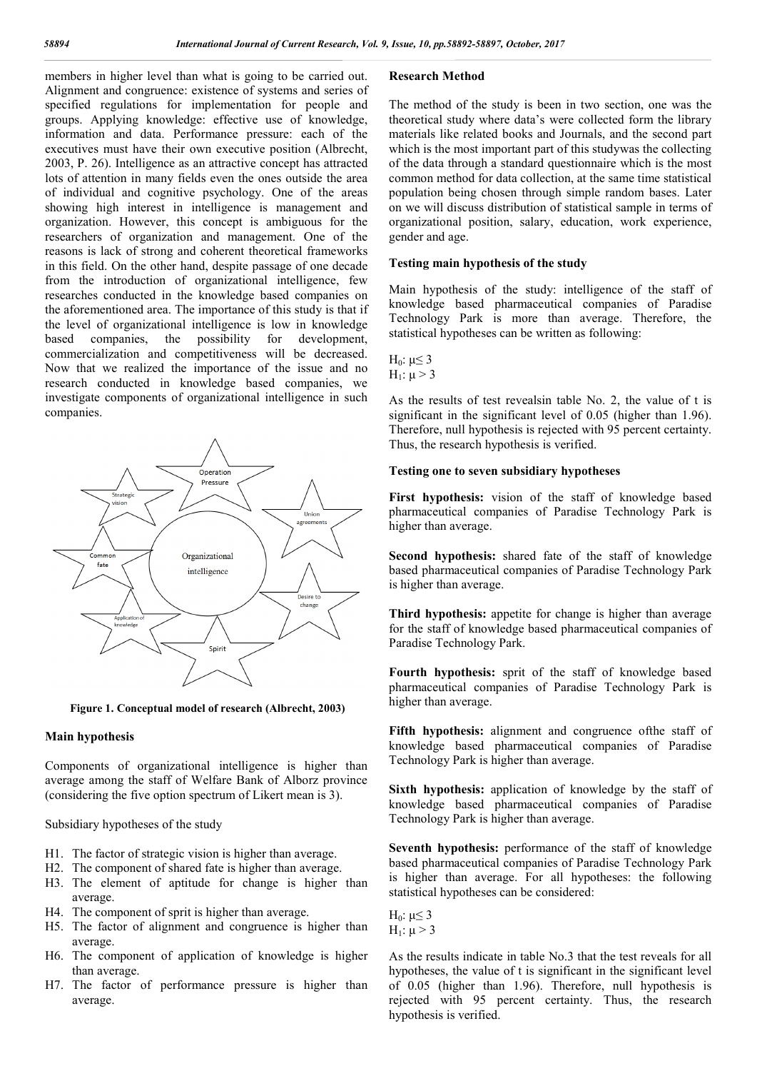members in higher level than what is going to be carried out. Alignment and congruence: existence of systems and series of specified regulations for implementation for people and groups. Applying knowledge: effective use of knowledge, information and data. Performance pressure: each of the executives must have their own executive position (Albrecht, 2003, P. 26). Intelligence as an attractive concept has attracted lots of attention in many fields even the ones outside the area of individual and cognitive psychology. One of the areas showing high interest in intelligence is management and organization. However, this concept is ambiguous for the researchers of organization and management. One of the reasons is lack of strong and coherent theoretical frameworks in this field. On the other hand, despite passage of one decade from the introduction of organizational intelligence, few researches conducted in the knowledge based companies on the aforementioned area. The importance of this study is that if the level of organizational intelligence is low in knowledge based companies, the possibility for development, commercialization and competitiveness will be decreased. Now that we realized the importance of the issue and no research conducted in knowledge based companies, we investigate components of organizational intelligence in such companies.



**Figure 1. Conceptual model of research (Albrecht, 2003)**

## **Main hypothesis**

Components of organizational intelligence is higher than average among the staff of Welfare Bank of Alborz province (considering the five option spectrum of Likert mean is 3).

Subsidiary hypotheses of the study

- H1. The factor of strategic vision is higher than average.
- H2. The component of shared fate is higher than average.
- H3. The element of aptitude for change is higher than average.
- H4. The component of sprit is higher than average.
- H5. The factor of alignment and congruence is higher than average.
- H6. The component of application of knowledge is higher than average.
- H7. The factor of performance pressure is higher than average.

## **Research Method**

The method of the study is been in two section, one was the theoretical study where data's were collected form the library materials like related books and Journals, and the second part which is the most important part of this studywas the collecting of the data through a standard questionnaire which is the most common method for data collection, at the same time statistical population being chosen through simple random bases. Later on we will discuss distribution of statistical sample in terms of organizational position, salary, education, work experience, gender and age.

## **Testing main hypothesis of the study**

Main hypothesis of the study: intelligence of the staff of knowledge based pharmaceutical companies of Paradise Technology Park is more than average. Therefore, the statistical hypotheses can be written as following:

H<sub>0</sub>: 
$$
\mu \le 3
$$
  
H<sub>1</sub>:  $\mu > 3$ 

As the results of test revealsin table No. 2, the value of t is significant in the significant level of 0.05 (higher than 1.96). Therefore, null hypothesis is rejected with 95 percent certainty. Thus, the research hypothesis is verified.

## **Testing one to seven subsidiary hypotheses**

**First hypothesis:** vision of the staff of knowledge based pharmaceutical companies of Paradise Technology Park is higher than average.

**Second hypothesis:** shared fate of the staff of knowledge based pharmaceutical companies of Paradise Technology Park is higher than average.

**Third hypothesis:** appetite for change is higher than average for the staff of knowledge based pharmaceutical companies of Paradise Technology Park.

**Fourth hypothesis:** sprit of the staff of knowledge based pharmaceutical companies of Paradise Technology Park is higher than average.

**Fifth hypothesis:** alignment and congruence ofthe staff of knowledge based pharmaceutical companies of Paradise Technology Park is higher than average.

**Sixth hypothesis:** application of knowledge by the staff of knowledge based pharmaceutical companies of Paradise Technology Park is higher than average.

**Seventh hypothesis:** performance of the staff of knowledge based pharmaceutical companies of Paradise Technology Park is higher than average. For all hypotheses: the following statistical hypotheses can be considered:

H<sub>0</sub>:  $μ ≤ 3$  $H_1$ :  $μ > 3$ 

As the results indicate in table No.3 that the test reveals for all hypotheses, the value of t is significant in the significant level of 0.05 (higher than 1.96). Therefore, null hypothesis is rejected with 95 percent certainty. Thus, the research hypothesis is verified.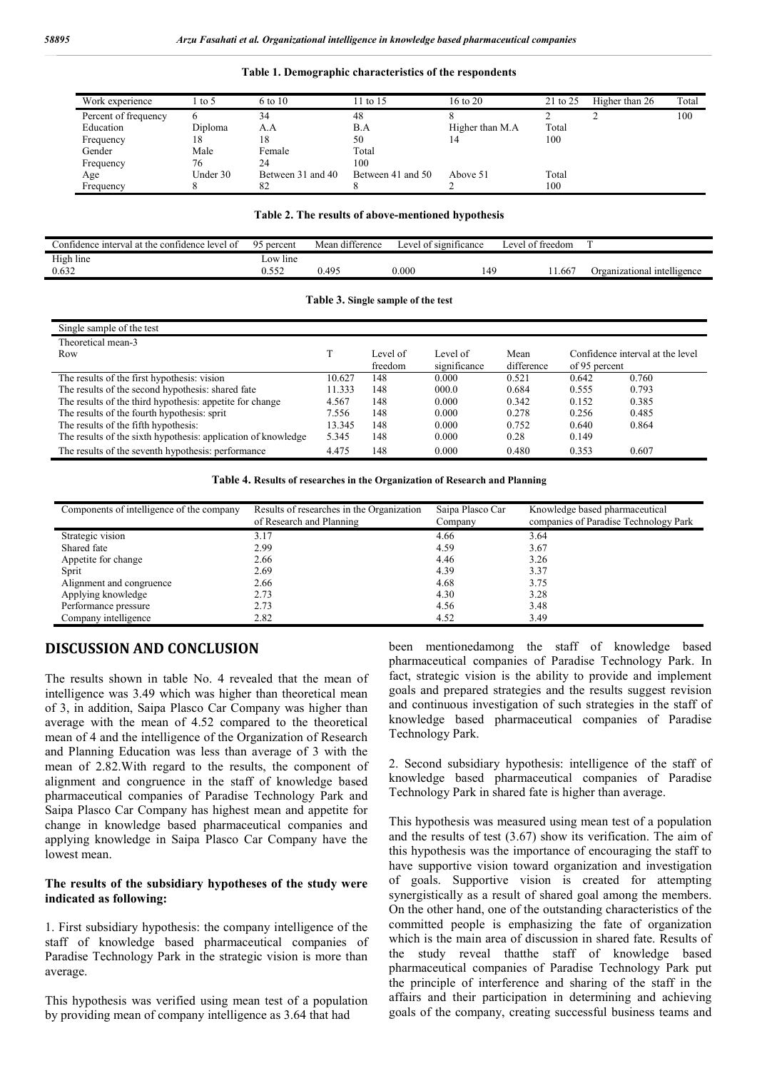| Work experience      | to 5     | 6 to 10           | 11 to 15          | 16 to 20         | 21 to 25 | Higher than 26 | Total |
|----------------------|----------|-------------------|-------------------|------------------|----------|----------------|-------|
| Percent of frequency |          | 34                | 48                |                  |          |                | 100   |
| Education            | Diploma  | A.A               | B.A               | Higher than M.A. | Total    |                |       |
| Frequency            | 18       | 18                | 50                |                  | 100      |                |       |
| Gender               | Male     | Female            | Total             |                  |          |                |       |
| Frequency            | 76       | 24                | 100               |                  |          |                |       |
| Age                  | Under 30 | Between 31 and 40 | Between 41 and 50 | Above 51         | Total    |                |       |
| Frequency            |          | 82                |                   |                  | 100      |                |       |

#### **Table 1. Demographic characteristics of the respondents**

## **Table 2. The results of above-mentioned hypothesis**

| Confidence interval at the confidence level of | 95 percent        | Mean difference | Level of significance | Level of freedom |                             |
|------------------------------------------------|-------------------|-----------------|-----------------------|------------------|-----------------------------|
| High line<br>0.632                             | Low line<br>0.552 | 0.495           | 0.000                 | .667<br>149      | Organizational intelligence |
|                                                |                   |                 |                       |                  |                             |

**Table 3. Single sample of the test**

| Single sample of the test                                     |        |                     |                          |                    |                                                   |       |
|---------------------------------------------------------------|--------|---------------------|--------------------------|--------------------|---------------------------------------------------|-------|
| Theoretical mean-3                                            |        |                     |                          |                    |                                                   |       |
| Row                                                           |        | Level of<br>freedom | Level of<br>significance | Mean<br>difference | Confidence interval at the level<br>of 95 percent |       |
| The results of the first hypothesis: vision                   | 10.627 | 148                 | 0.000                    | 0.521              | 0.642                                             | 0.760 |
| The results of the second hypothesis: shared fate             | 11.333 | 148                 | 000.0                    | 0.684              | 0.555                                             | 0.793 |
| The results of the third hypothesis: appetite for change      | 4.567  | 148                 | 0.000                    | 0.342              | 0.152                                             | 0.385 |
| The results of the fourth hypothesis: sprit                   | 7.556  | 148                 | 0.000                    | 0.278              | 0.256                                             | 0.485 |
| The results of the fifth hypothesis:                          | 13.345 | 148                 | 0.000                    | 0.752              | 0.640                                             | 0.864 |
| The results of the sixth hypothesis: application of knowledge | 5.345  | 148                 | 0.000                    | 0.28               | 0.149                                             |       |
| The results of the seventh hypothesis: performance            | 4.475  | 148                 | 0.000                    | 0.480              | 0.353                                             | 0.607 |

**Table 4. Results of researches in the Organization of Research and Planning**

| Components of intelligence of the company | Results of researches in the Organization<br>of Research and Planning | Saipa Plasco Car<br>Company | Knowledge based pharmaceutical<br>companies of Paradise Technology Park |  |
|-------------------------------------------|-----------------------------------------------------------------------|-----------------------------|-------------------------------------------------------------------------|--|
| Strategic vision                          | 3.17                                                                  | 4.66                        | 3.64                                                                    |  |
| Shared fate                               | 2.99                                                                  | 4.59                        | 3.67                                                                    |  |
| Appetite for change                       | 2.66                                                                  | 4.46                        | 3.26                                                                    |  |
| Sprit                                     | 2.69                                                                  | 4.39                        | 3.37                                                                    |  |
| Alignment and congruence                  | 2.66                                                                  | 4.68                        | 3.75                                                                    |  |
| Applying knowledge                        | 2.73                                                                  | 4.30                        | 3.28                                                                    |  |
| Performance pressure                      | 2.73                                                                  | 4.56                        | 3.48                                                                    |  |
| Company intelligence                      | 2.82                                                                  | 4.52                        | 3.49                                                                    |  |

# **DISCUSSION AND CONCLUSION**

The results shown in table No. 4 revealed that the mean of intelligence was 3.49 which was higher than theoretical mean of 3, in addition, Saipa Plasco Car Company was higher than average with the mean of 4.52 compared to the theoretical mean of 4 and the intelligence of the Organization of Research and Planning Education was less than average of 3 with the mean of 2.82.With regard to the results, the component of alignment and congruence in the staff of knowledge based pharmaceutical companies of Paradise Technology Park and Saipa Plasco Car Company has highest mean and appetite for change in knowledge based pharmaceutical companies and applying knowledge in Saipa Plasco Car Company have the lowest mean.

## **The results of the subsidiary hypotheses of the study were indicated as following:**

1. First subsidiary hypothesis: the company intelligence of the staff of knowledge based pharmaceutical companies of Paradise Technology Park in the strategic vision is more than average.

This hypothesis was verified using mean test of a population by providing mean of company intelligence as 3.64 that had

been mentionedamong the staff of knowledge based pharmaceutical companies of Paradise Technology Park. In fact, strategic vision is the ability to provide and implement goals and prepared strategies and the results suggest revision and continuous investigation of such strategies in the staff of knowledge based pharmaceutical companies of Paradise Technology Park.

2. Second subsidiary hypothesis: intelligence of the staff of knowledge based pharmaceutical companies of Paradise Technology Park in shared fate is higher than average.

This hypothesis was measured using mean test of a population and the results of test (3.67) show its verification. The aim of this hypothesis was the importance of encouraging the staff to have supportive vision toward organization and investigation of goals. Supportive vision is created for attempting synergistically as a result of shared goal among the members. On the other hand, one of the outstanding characteristics of the committed people is emphasizing the fate of organization which is the main area of discussion in shared fate. Results of the study reveal thatthe staff of knowledge based pharmaceutical companies of Paradise Technology Park put the principle of interference and sharing of the staff in the affairs and their participation in determining and achieving goals of the company, creating successful business teams and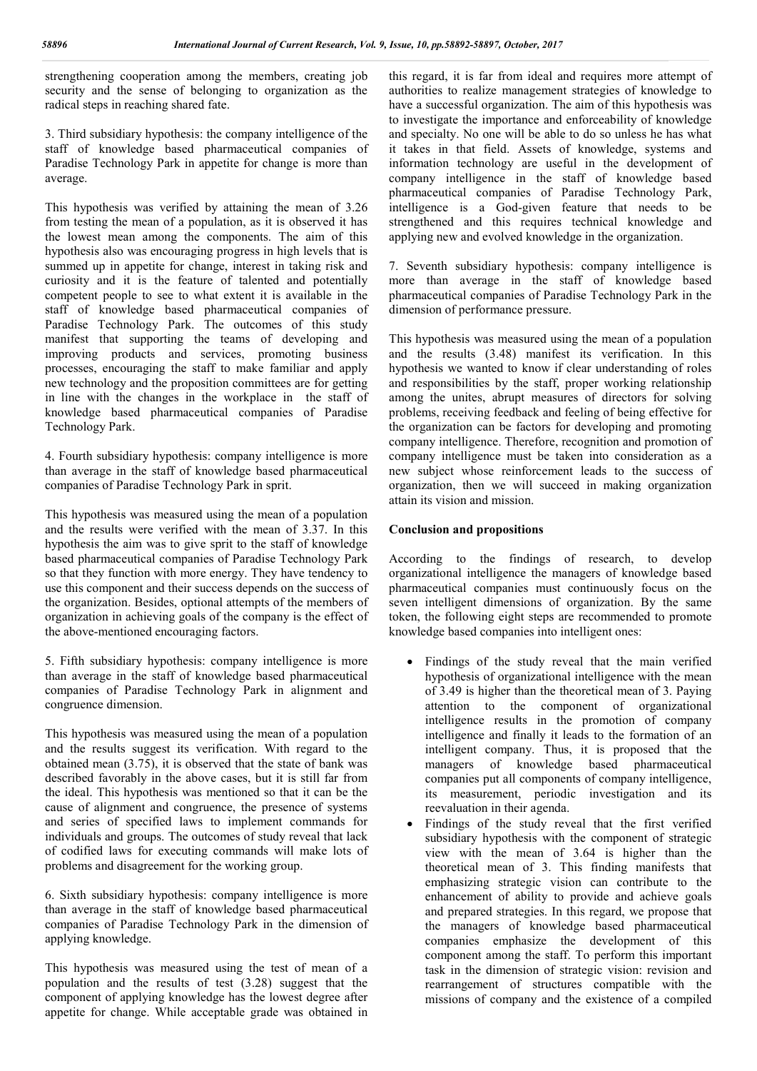strengthening cooperation among the members, creating job security and the sense of belonging to organization as the radical steps in reaching shared fate.

3. Third subsidiary hypothesis: the company intelligence of the staff of knowledge based pharmaceutical companies of Paradise Technology Park in appetite for change is more than average.

This hypothesis was verified by attaining the mean of 3.26 from testing the mean of a population, as it is observed it has the lowest mean among the components. The aim of this hypothesis also was encouraging progress in high levels that is summed up in appetite for change, interest in taking risk and curiosity and it is the feature of talented and potentially competent people to see to what extent it is available in the staff of knowledge based pharmaceutical companies of Paradise Technology Park. The outcomes of this study manifest that supporting the teams of developing and improving products and services, promoting business processes, encouraging the staff to make familiar and apply new technology and the proposition committees are for getting in line with the changes in the workplace in the staff of knowledge based pharmaceutical companies of Paradise Technology Park.

4. Fourth subsidiary hypothesis: company intelligence is more than average in the staff of knowledge based pharmaceutical companies of Paradise Technology Park in sprit.

This hypothesis was measured using the mean of a population and the results were verified with the mean of 3.37. In this hypothesis the aim was to give sprit to the staff of knowledge based pharmaceutical companies of Paradise Technology Park so that they function with more energy. They have tendency to use this component and their success depends on the success of the organization. Besides, optional attempts of the members of organization in achieving goals of the company is the effect of the above-mentioned encouraging factors.

5. Fifth subsidiary hypothesis: company intelligence is more than average in the staff of knowledge based pharmaceutical companies of Paradise Technology Park in alignment and congruence dimension.

This hypothesis was measured using the mean of a population and the results suggest its verification. With regard to the obtained mean (3.75), it is observed that the state of bank was described favorably in the above cases, but it is still far from the ideal. This hypothesis was mentioned so that it can be the cause of alignment and congruence, the presence of systems and series of specified laws to implement commands for individuals and groups. The outcomes of study reveal that lack of codified laws for executing commands will make lots of problems and disagreement for the working group.

6. Sixth subsidiary hypothesis: company intelligence is more than average in the staff of knowledge based pharmaceutical companies of Paradise Technology Park in the dimension of applying knowledge.

This hypothesis was measured using the test of mean of a population and the results of test (3.28) suggest that the component of applying knowledge has the lowest degree after appetite for change. While acceptable grade was obtained in this regard, it is far from ideal and requires more attempt of authorities to realize management strategies of knowledge to have a successful organization. The aim of this hypothesis was to investigate the importance and enforceability of knowledge and specialty. No one will be able to do so unless he has what it takes in that field. Assets of knowledge, systems and information technology are useful in the development of company intelligence in the staff of knowledge based pharmaceutical companies of Paradise Technology Park, intelligence is a God-given feature that needs to be strengthened and this requires technical knowledge and applying new and evolved knowledge in the organization.

7. Seventh subsidiary hypothesis: company intelligence is more than average in the staff of knowledge based pharmaceutical companies of Paradise Technology Park in the dimension of performance pressure.

This hypothesis was measured using the mean of a population and the results (3.48) manifest its verification. In this hypothesis we wanted to know if clear understanding of roles and responsibilities by the staff, proper working relationship among the unites, abrupt measures of directors for solving problems, receiving feedback and feeling of being effective for the organization can be factors for developing and promoting company intelligence. Therefore, recognition and promotion of company intelligence must be taken into consideration as a new subject whose reinforcement leads to the success of organization, then we will succeed in making organization attain its vision and mission.

# **Conclusion and propositions**

According to the findings of research, to develop organizational intelligence the managers of knowledge based pharmaceutical companies must continuously focus on the seven intelligent dimensions of organization. By the same token, the following eight steps are recommended to promote knowledge based companies into intelligent ones:

- Findings of the study reveal that the main verified hypothesis of organizational intelligence with the mean of 3.49 is higher than the theoretical mean of 3. Paying attention to the component of organizational intelligence results in the promotion of company intelligence and finally it leads to the formation of an intelligent company. Thus, it is proposed that the managers of knowledge based pharmaceutical companies put all components of company intelligence, its measurement, periodic investigation and its reevaluation in their agenda.
- Findings of the study reveal that the first verified subsidiary hypothesis with the component of strategic view with the mean of 3.64 is higher than the theoretical mean of 3. This finding manifests that emphasizing strategic vision can contribute to the enhancement of ability to provide and achieve goals and prepared strategies. In this regard, we propose that the managers of knowledge based pharmaceutical companies emphasize the development of this component among the staff. To perform this important task in the dimension of strategic vision: revision and rearrangement of structures compatible with the missions of company and the existence of a compiled